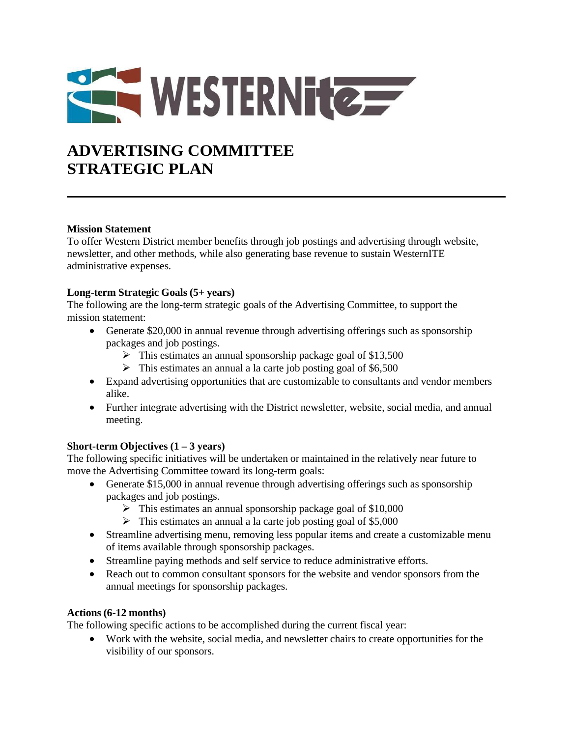

# **ADVERTISING COMMITTEE STRATEGIC PLAN**

## **Mission Statement**

To offer Western District member benefits through job postings and advertising through website, newsletter, and other methods, while also generating base revenue to sustain WesternITE administrative expenses.

## **Long-term Strategic Goals (5+ years)**

The following are the long-term strategic goals of the Advertising Committee, to support the mission statement:

- Generate \$20,000 in annual revenue through advertising offerings such as sponsorship packages and job postings.
	- $\triangleright$  This estimates an annual sponsorship package goal of \$13,500
	- $\triangleright$  This estimates an annual a la carte job posting goal of \$6,500
- Expand advertising opportunities that are customizable to consultants and vendor members alike.
- Further integrate advertising with the District newsletter, website, social media, and annual meeting.

## **Short-term Objectives (1 – 3 years)**

The following specific initiatives will be undertaken or maintained in the relatively near future to move the Advertising Committee toward its long-term goals:

- Generate \$15,000 in annual revenue through advertising offerings such as sponsorship packages and job postings.
	- $\triangleright$  This estimates an annual sponsorship package goal of \$10,000
	- $\triangleright$  This estimates an annual a la carte job posting goal of \$5,000
- Streamline advertising menu, removing less popular items and create a customizable menu of items available through sponsorship packages.
- Streamline paying methods and self service to reduce administrative efforts.
- Reach out to common consultant sponsors for the website and vendor sponsors from the annual meetings for sponsorship packages.

## **Actions (6-12 months)**

The following specific actions to be accomplished during the current fiscal year:

 Work with the website, social media, and newsletter chairs to create opportunities for the visibility of our sponsors.